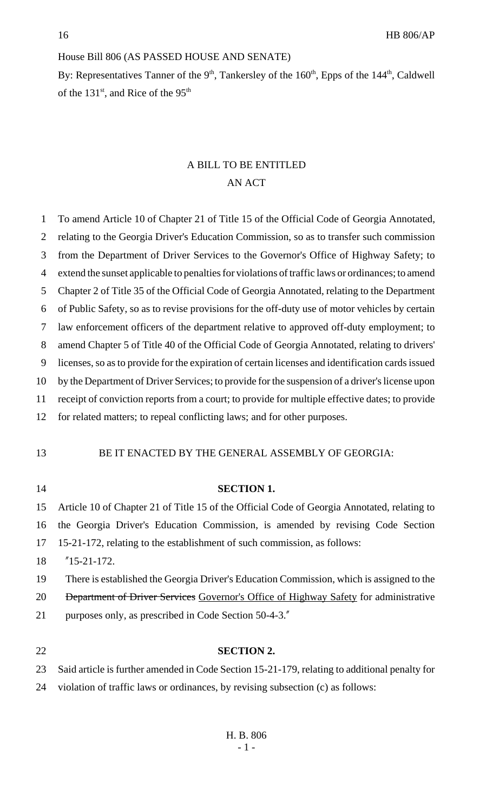# House Bill 806 (AS PASSED HOUSE AND SENATE)

By: Representatives Tanner of the 9<sup>th</sup>, Tankersley of the 160<sup>th</sup>, Epps of the 144<sup>th</sup>, Caldwell of the 131<sup>st</sup>, and Rice of the 95<sup>th</sup>

### A BILL TO BE ENTITLED AN ACT

| $\mathbf{1}$   | To amend Article 10 of Chapter 21 of Title 15 of the Official Code of Georgia Annotated,          |
|----------------|---------------------------------------------------------------------------------------------------|
| 2              | relating to the Georgia Driver's Education Commission, so as to transfer such commission          |
| 3              | from the Department of Driver Services to the Governor's Office of Highway Safety; to             |
| $\overline{4}$ | extend the sunset applicable to penalties for violations of traffic laws or ordinances; to amend  |
| 5              | Chapter 2 of Title 35 of the Official Code of Georgia Annotated, relating to the Department       |
| 6              | of Public Safety, so as to revise provisions for the off-duty use of motor vehicles by certain    |
| 7              | law enforcement officers of the department relative to approved off-duty employment; to           |
| 8              | amend Chapter 5 of Title 40 of the Official Code of Georgia Annotated, relating to drivers'       |
| 9              | licenses, so as to provide for the expiration of certain licenses and identification cards issued |
| 10             | by the Department of Driver Services; to provide for the suspension of a driver's license upon    |
| 11             | receipt of conviction reports from a court; to provide for multiple effective dates; to provide   |
| 12             | for related matters; to repeal conflicting laws; and for other purposes.                          |
| 13             | BE IT ENACTED BY THE GENERAL ASSEMBLY OF GEORGIA:                                                 |
| 14             | <b>SECTION 1.</b>                                                                                 |
| 15             | Article 10 of Chapter 21 of Title 15 of the Official Code of Georgia Annotated, relating to       |
| 16             | the Georgia Driver's Education Commission, is amended by revising Code Section                    |
| 17             | 15-21-172, relating to the establishment of such commission, as follows:                          |
| 18             | $"15-21-172.$                                                                                     |
| 19             | There is established the Georgia Driver's Education Commission, which is assigned to the          |
| 20             | <b>Department of Driver Services Governor's Office of Highway Safety for administrative</b>       |
| 21             | purposes only, as prescribed in Code Section 50-4-3."                                             |
|                |                                                                                                   |
| 22             | <b>SECTION 2.</b>                                                                                 |
| 23             | Said article is further amended in Code Section 15-21-179, relating to additional penalty for     |
| 24             | violation of traffic laws or ordinances, by revising subsection (c) as follows:                   |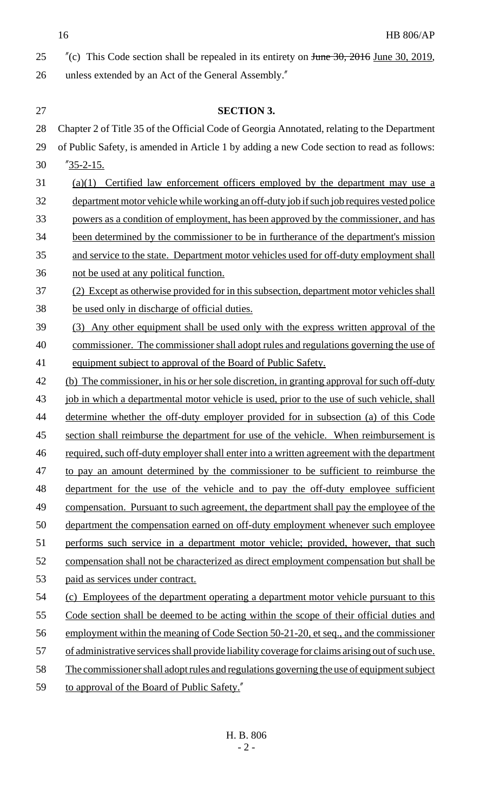16 HB 806/AP

| 25 | $\degree$ (c) This Code section shall be repealed in its entirety on <del>June 30, 2016</del> June 30, 2019, |
|----|--------------------------------------------------------------------------------------------------------------|
| 26 | unless extended by an Act of the General Assembly."                                                          |

| 27 | <b>SECTION 3.</b>                                                                               |
|----|-------------------------------------------------------------------------------------------------|
| 28 | Chapter 2 of Title 35 of the Official Code of Georgia Annotated, relating to the Department     |
| 29 | of Public Safety, is amended in Article 1 by adding a new Code section to read as follows:      |
| 30 | $\frac{\cancel{0}75 - 2 - 15}{\cancel{0}15}$                                                    |
| 31 | $(a)(1)$ Certified law enforcement officers employed by the department may use a                |
| 32 | department motor vehicle while working an off-duty job if such job requires vested police       |
| 33 | powers as a condition of employment, has been approved by the commissioner, and has             |
| 34 | been determined by the commissioner to be in furtherance of the department's mission            |
| 35 | and service to the state. Department motor vehicles used for off-duty employment shall          |
| 36 | not be used at any political function.                                                          |
| 37 | (2) Except as otherwise provided for in this subsection, department motor vehicles shall        |
| 38 | be used only in discharge of official duties.                                                   |
| 39 | (3) Any other equipment shall be used only with the express written approval of the             |
| 40 | commissioner. The commissioner shall adopt rules and regulations governing the use of           |
| 41 | equipment subject to approval of the Board of Public Safety.                                    |
| 42 | (b) The commissioner, in his or her sole discretion, in granting approval for such off-duty     |
| 43 | job in which a departmental motor vehicle is used, prior to the use of such vehicle, shall      |
| 44 | determine whether the off-duty employer provided for in subsection (a) of this Code             |
| 45 | section shall reimburse the department for use of the vehicle. When reimbursement is            |
| 46 | required, such off-duty employer shall enter into a written agreement with the department       |
| 47 | to pay an amount determined by the commissioner to be sufficient to reimburse the               |
| 48 | department for the use of the vehicle and to pay the off-duty employee sufficient               |
| 49 | compensation. Pursuant to such agreement, the department shall pay the employee of the          |
| 50 | department the compensation earned on off-duty employment whenever such employee                |
| 51 | performs such service in a department motor vehicle; provided, however, that such               |
| 52 | compensation shall not be characterized as direct employment compensation but shall be          |
| 53 | paid as services under contract.                                                                |
| 54 | (c) Employees of the department operating a department motor vehicle pursuant to this           |
| 55 | Code section shall be deemed to be acting within the scope of their official duties and         |
| 56 | employment within the meaning of Code Section 50-21-20, et seq., and the commissioner           |
| 57 | of administrative services shall provide liability coverage for claims arising out of such use. |
| 58 | The commissioner shall adopt rules and regulations governing the use of equipment subject       |
| 59 | to approval of the Board of Public Safety."                                                     |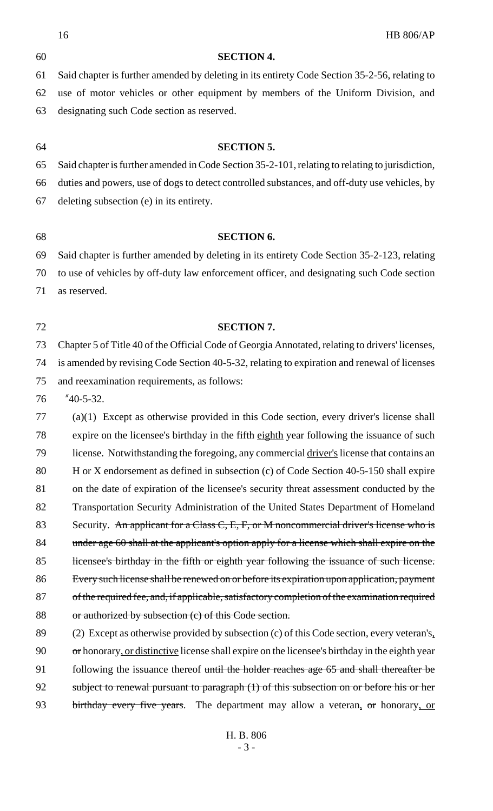|    | 16<br><b>HB 806/AP</b>                                                                          |
|----|-------------------------------------------------------------------------------------------------|
| 60 | <b>SECTION 4.</b>                                                                               |
| 61 | Said chapter is further amended by deleting in its entirety Code Section 35-2-56, relating to   |
| 62 | use of motor vehicles or other equipment by members of the Uniform Division, and                |
| 63 | designating such Code section as reserved.                                                      |
|    |                                                                                                 |
| 64 | <b>SECTION 5.</b>                                                                               |
| 65 | Said chapter is further amended in Code Section 35-2-101, relating to relating to jurisdiction, |
| 66 | duties and powers, use of dogs to detect controlled substances, and off-duty use vehicles, by   |
| 67 | deleting subsection (e) in its entirety.                                                        |
| 68 | <b>SECTION 6.</b>                                                                               |
| 69 | Said chapter is further amended by deleting in its entirety Code Section 35-2-123, relating     |
| 70 |                                                                                                 |
|    | to use of vehicles by off-duty law enforcement officer, and designating such Code section       |
| 71 | as reserved.                                                                                    |
| 72 | <b>SECTION 7.</b>                                                                               |
| 73 | Chapter 5 of Title 40 of the Official Code of Georgia Annotated, relating to drivers' licenses, |
| 74 | is amended by revising Code Section 40-5-32, relating to expiration and renewal of licenses     |
| 75 | and reexamination requirements, as follows:                                                     |
| 76 | $"40-5-32.$                                                                                     |
| 77 | $(a)(1)$ Except as otherwise provided in this Code section, every driver's license shall        |
| 78 | expire on the licensee's birthday in the fifth eighth year following the issuance of such       |
| 79 | license. Notwithstanding the foregoing, any commercial driver's license that contains an        |
| 80 | H or X endorsement as defined in subsection (c) of Code Section 40-5-150 shall expire           |
| 81 | on the date of expiration of the licensee's security threat assessment conducted by the         |
| 82 | Transportation Security Administration of the United States Department of Homeland              |
| 83 | Security. An applicant for a Class C, E, F, or M noncommercial driver's license who is          |
| 84 | under age 60 shall at the applicant's option apply for a license which shall expire on the      |
| 85 | licensee's birthday in the fifth or eighth year following the issuance of such license.         |
| 86 | Every such license shall be renewed on or before its expiration upon application, payment       |
| 87 | of the required fee, and, if applicable, satisfactory completion of the examination required    |
| 88 | or authorized by subsection (c) of this Code section.                                           |
| 89 | (2) Except as otherwise provided by subsection (c) of this Code section, every veteran's.       |
| 90 | or honorary, or distinctive license shall expire on the licensee's birthday in the eighth year  |
| 91 | following the issuance thereof until the holder reaches age 65 and shall thereafter be          |
| 92 | subject to renewal pursuant to paragraph (1) of this subsection on or before his or her         |
| 93 | birthday every five years. The department may allow a veteran, or honorary, or                  |
|    |                                                                                                 |
|    | H. B. 806                                                                                       |

- 3 -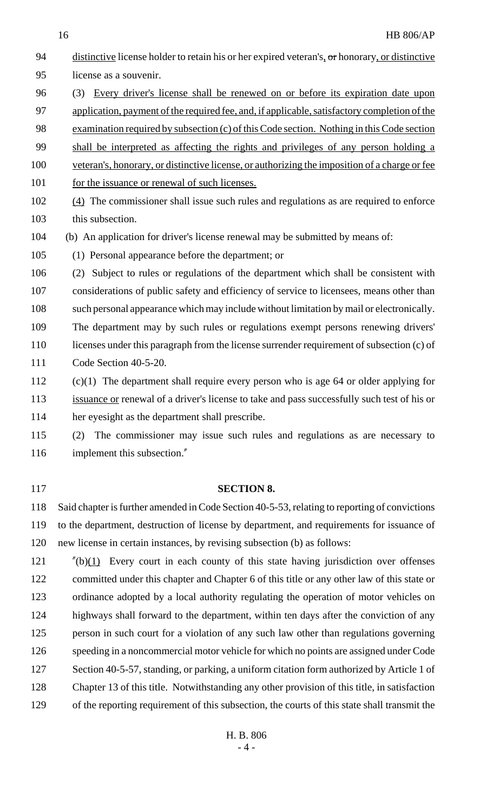distinctive license holder to retain his or her expired veteran's, or honorary, or distinctive license as a souvenir. (3) Every driver's license shall be renewed on or before its expiration date upon application, payment of the required fee, and, if applicable, satisfactory completion of the examination required by subsection (c) of this Code section. Nothing in this Code section shall be interpreted as affecting the rights and privileges of any person holding a veteran's, honorary, or distinctive license, or authorizing the imposition of a charge or fee 101 for the issuance or renewal of such licenses. (4) The commissioner shall issue such rules and regulations as are required to enforce this subsection. (b) An application for driver's license renewal may be submitted by means of: (1) Personal appearance before the department; or (2) Subject to rules or regulations of the department which shall be consistent with considerations of public safety and efficiency of service to licensees, means other than such personal appearance which may include without limitation by mail or electronically. The department may by such rules or regulations exempt persons renewing drivers' 110 licenses under this paragraph from the license surrender requirement of subsection (c) of

- Code Section 40-5-20.
- (c)(1) The department shall require every person who is age 64 or older applying for 113 issuance or renewal of a driver's license to take and pass successfully such test of his or her eyesight as the department shall prescribe.

 (2) The commissioner may issue such rules and regulations as are necessary to 116 implement this subsection."

#### **SECTION 8.**

 Said chapter is further amended in Code Section 40-5-53, relating to reporting of convictions to the department, destruction of license by department, and requirements for issuance of new license in certain instances, by revising subsection (b) as follows:

 "(b) $(1)$  Every court in each county of this state having jurisdiction over offenses committed under this chapter and Chapter 6 of this title or any other law of this state or ordinance adopted by a local authority regulating the operation of motor vehicles on highways shall forward to the department, within ten days after the conviction of any person in such court for a violation of any such law other than regulations governing speeding in a noncommercial motor vehicle for which no points are assigned under Code 127 Section 40-5-57, standing, or parking, a uniform citation form authorized by Article 1 of Chapter 13 of this title. Notwithstanding any other provision of this title, in satisfaction of the reporting requirement of this subsection, the courts of this state shall transmit the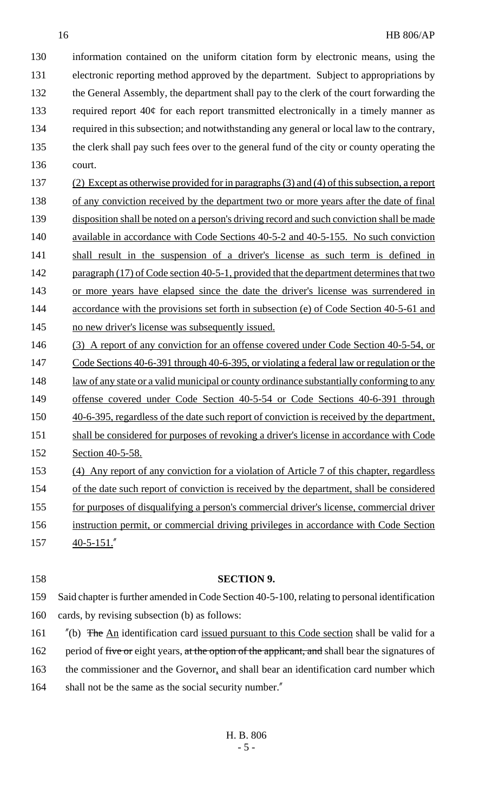information contained on the uniform citation form by electronic means, using the electronic reporting method approved by the department. Subject to appropriations by the General Assembly, the department shall pay to the clerk of the court forwarding the 133 required report  $40¢$  for each report transmitted electronically in a timely manner as required in this subsection; and notwithstanding any general or local law to the contrary, the clerk shall pay such fees over to the general fund of the city or county operating the 136 court.

- 137 (2) Except as otherwise provided for in paragraphs (3) and (4) of this subsection, a report 138 of any conviction received by the department two or more years after the date of final 139 disposition shall be noted on a person's driving record and such conviction shall be made 140 available in accordance with Code Sections 40-5-2 and 40-5-155. No such conviction 141 shall result in the suspension of a driver's license as such term is defined in 142 paragraph (17) of Code section 40-5-1, provided that the department determines that two 143 or more years have elapsed since the date the driver's license was surrendered in 144 accordance with the provisions set forth in subsection (e) of Code Section 40-5-61 and 145 no new driver's license was subsequently issued.
- 146 (3) A report of any conviction for an offense covered under Code Section 40-5-54, or 147 Code Sections 40-6-391 through 40-6-395, or violating a federal law or regulation or the 148 law of any state or a valid municipal or county ordinance substantially conforming to any 149 offense covered under Code Section 40-5-54 or Code Sections 40-6-391 through 150 40-6-395, regardless of the date such report of conviction is received by the department, 151 shall be considered for purposes of revoking a driver's license in accordance with Code 152 Section 40-5-58. 153 (4) Any report of any conviction for a violation of Article 7 of this chapter, regardless
- 154 of the date such report of conviction is received by the department, shall be considered
- 155 for purposes of disqualifying a person's commercial driver's license, commercial driver
- 156 instruction permit, or commercial driving privileges in accordance with Code Section
- $157 \frac{40-5-151."}{40}$
- 

### 158 **SECTION 9.**

- 159 Said chapter is further amended in Code Section 40-5-100, relating to personal identification 160 cards, by revising subsection (b) as follows:
- 161 "(b) The An identification card issued pursuant to this Code section shall be valid for a 162 period of five or eight years, at the option of the applicant, and shall bear the signatures of 163 the commissioner and the Governor, and shall bear an identification card number which
- 164 shall not be the same as the social security number."